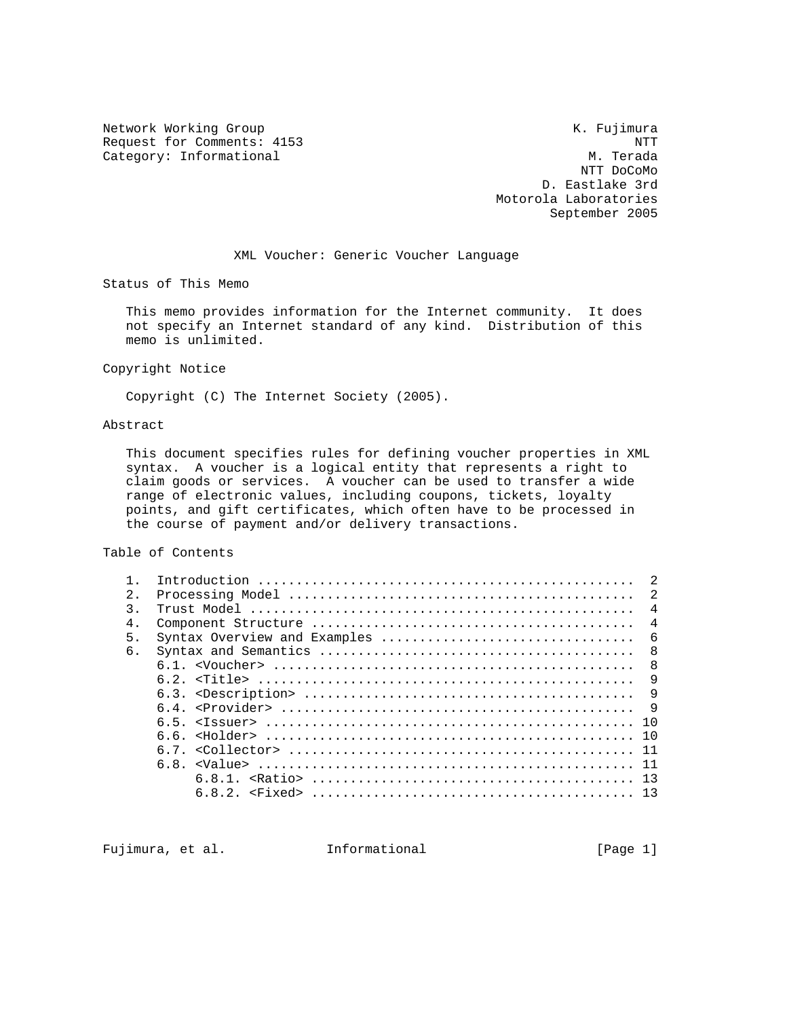Network Working Group and Month Communications of the Month Communication of the Month Communication of the Month Communication of the Month Communication of the Month Communication of the Month Communication of the Month Request for Comments: 4153 NTT<br>Category: Informational Number of M. Terada Category: Informational

 NTT DoCoMo D. Eastlake 3rd Motorola Laboratories September 2005

#### XML Voucher: Generic Voucher Language

Status of This Memo

 This memo provides information for the Internet community. It does not specify an Internet standard of any kind. Distribution of this memo is unlimited.

Copyright Notice

Copyright (C) The Internet Society (2005).

### Abstract

 This document specifies rules for defining voucher properties in XML syntax. A voucher is a logical entity that represents a right to claim goods or services. A voucher can be used to transfer a wide range of electronic values, including coupons, tickets, loyalty points, and gift certificates, which often have to be processed in the course of payment and/or delivery transactions.

Table of Contents

|               | $\mathcal{L}$                       |
|---------------|-------------------------------------|
| 2.            | <sup>2</sup>                        |
| $\mathcal{R}$ | $\overline{4}$                      |
| 4.            | $\overline{4}$                      |
| 5.            | Syntax Overview and Examples<br>- 6 |
| 6.            | - 8                                 |
|               | 8                                   |
|               | 9                                   |
|               | 9                                   |
|               |                                     |
|               |                                     |
|               |                                     |
|               |                                     |
|               |                                     |
|               |                                     |
|               |                                     |
|               |                                     |

Fujimura, et al. Informational [Page 1]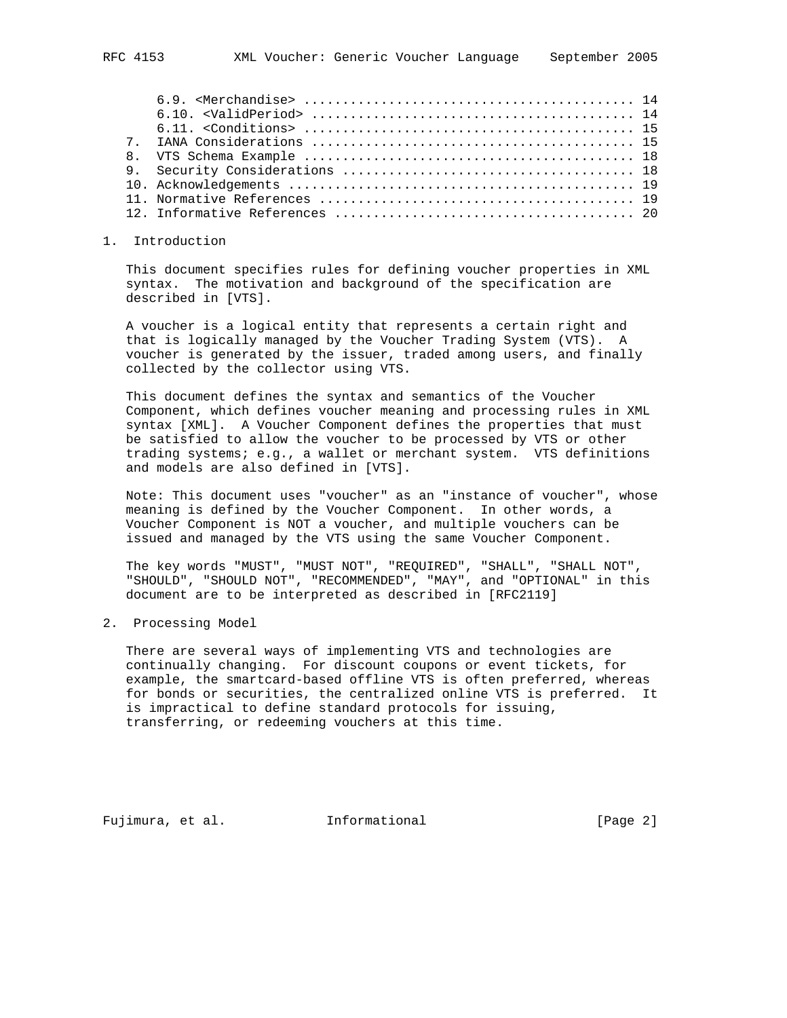## 1. Introduction

 This document specifies rules for defining voucher properties in XML syntax. The motivation and background of the specification are described in [VTS].

 A voucher is a logical entity that represents a certain right and that is logically managed by the Voucher Trading System (VTS). A voucher is generated by the issuer, traded among users, and finally collected by the collector using VTS.

 This document defines the syntax and semantics of the Voucher Component, which defines voucher meaning and processing rules in XML syntax [XML]. A Voucher Component defines the properties that must be satisfied to allow the voucher to be processed by VTS or other trading systems; e.g., a wallet or merchant system. VTS definitions and models are also defined in [VTS].

 Note: This document uses "voucher" as an "instance of voucher", whose meaning is defined by the Voucher Component. In other words, a Voucher Component is NOT a voucher, and multiple vouchers can be issued and managed by the VTS using the same Voucher Component.

 The key words "MUST", "MUST NOT", "REQUIRED", "SHALL", "SHALL NOT", "SHOULD", "SHOULD NOT", "RECOMMENDED", "MAY", and "OPTIONAL" in this document are to be interpreted as described in [RFC2119]

2. Processing Model

 There are several ways of implementing VTS and technologies are continually changing. For discount coupons or event tickets, for example, the smartcard-based offline VTS is often preferred, whereas for bonds or securities, the centralized online VTS is preferred. It is impractical to define standard protocols for issuing, transferring, or redeeming vouchers at this time.

Fujimura, et al. Informational [Page 2]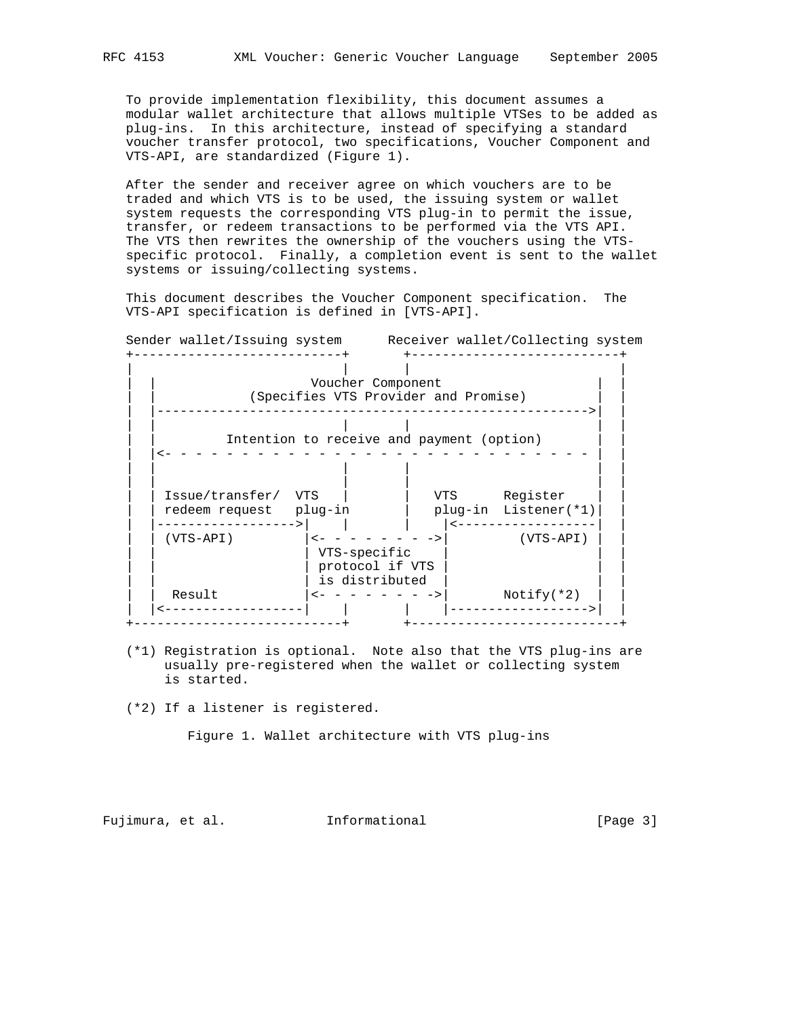To provide implementation flexibility, this document assumes a modular wallet architecture that allows multiple VTSes to be added as plug-ins. In this architecture, instead of specifying a standard voucher transfer protocol, two specifications, Voucher Component and VTS-API, are standardized (Figure 1).

 After the sender and receiver agree on which vouchers are to be traded and which VTS is to be used, the issuing system or wallet system requests the corresponding VTS plug-in to permit the issue, transfer, or redeem transactions to be performed via the VTS API. The VTS then rewrites the ownership of the vouchers using the VTS specific protocol. Finally, a completion event is sent to the wallet systems or issuing/collecting systems.

 This document describes the Voucher Component specification. The VTS-API specification is defined in [VTS-API].

Sender wallet/Issuing system and Receiver wallet/Collecting system

|                     |                                   | Intention to receive and payment (option) |
|---------------------|-----------------------------------|-------------------------------------------|
|                     |                                   |                                           |
|                     |                                   |                                           |
| Issue/transfer/ VTS |                                   | Register<br>VTS                           |
| redeem request      | plug-in                           | plug-in Listener(*1)                      |
|                     |                                   |                                           |
|                     |                                   |                                           |
| $(VTS-API)$         |                                   | $(VTS-API)$                               |
|                     | VTS-specific                      |                                           |
|                     | protocol if VTS<br>is distributed |                                           |
| Result              |                                   | $Notify(*2)$                              |

- (\*1) Registration is optional. Note also that the VTS plug-ins are usually pre-registered when the wallet or collecting system is started.
- (\*2) If a listener is registered.

Figure 1. Wallet architecture with VTS plug-ins

Fujimura, et al. 1nformational 1999 [Page 3]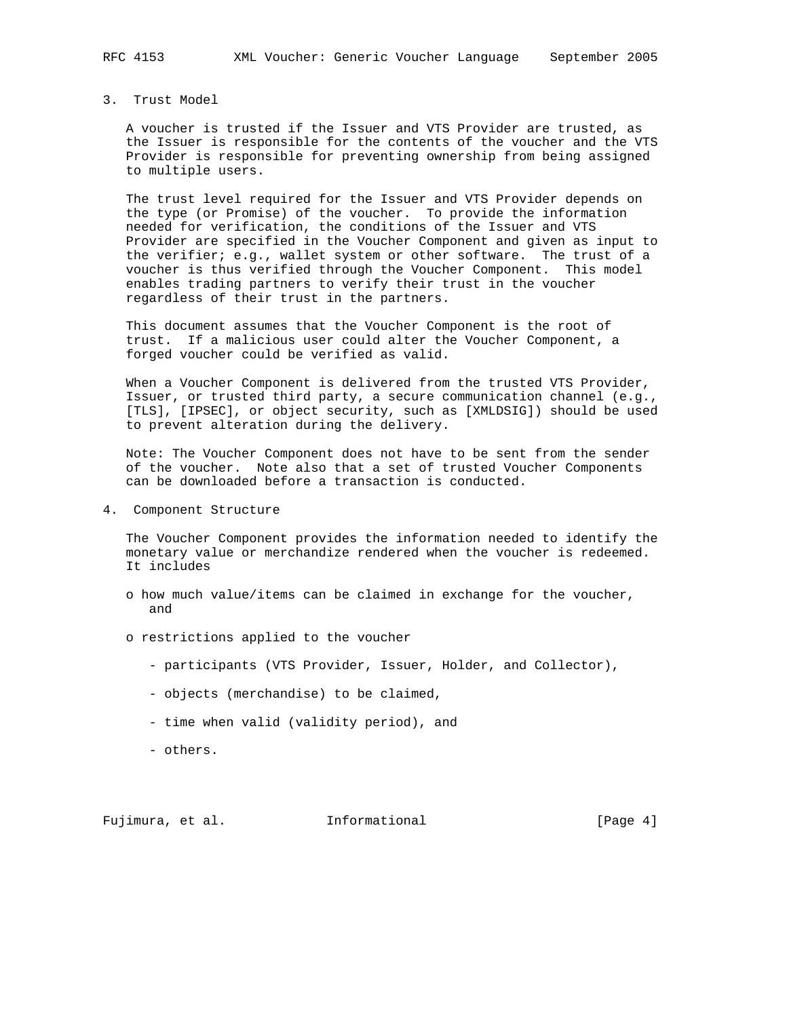# 3. Trust Model

 A voucher is trusted if the Issuer and VTS Provider are trusted, as the Issuer is responsible for the contents of the voucher and the VTS Provider is responsible for preventing ownership from being assigned to multiple users.

 The trust level required for the Issuer and VTS Provider depends on the type (or Promise) of the voucher. To provide the information needed for verification, the conditions of the Issuer and VTS Provider are specified in the Voucher Component and given as input to the verifier; e.g., wallet system or other software. The trust of a voucher is thus verified through the Voucher Component. This model enables trading partners to verify their trust in the voucher regardless of their trust in the partners.

 This document assumes that the Voucher Component is the root of trust. If a malicious user could alter the Voucher Component, a forged voucher could be verified as valid.

 When a Voucher Component is delivered from the trusted VTS Provider, Issuer, or trusted third party, a secure communication channel (e.g., [TLS], [IPSEC], or object security, such as [XMLDSIG]) should be used to prevent alteration during the delivery.

 Note: The Voucher Component does not have to be sent from the sender of the voucher. Note also that a set of trusted Voucher Components can be downloaded before a transaction is conducted.

4. Component Structure

 The Voucher Component provides the information needed to identify the monetary value or merchandize rendered when the voucher is redeemed. It includes

- o how much value/items can be claimed in exchange for the voucher, and
- o restrictions applied to the voucher
	- participants (VTS Provider, Issuer, Holder, and Collector),
	- objects (merchandise) to be claimed,
	- time when valid (validity period), and
	- others.

Fujimura, et al. Informational [Page 4]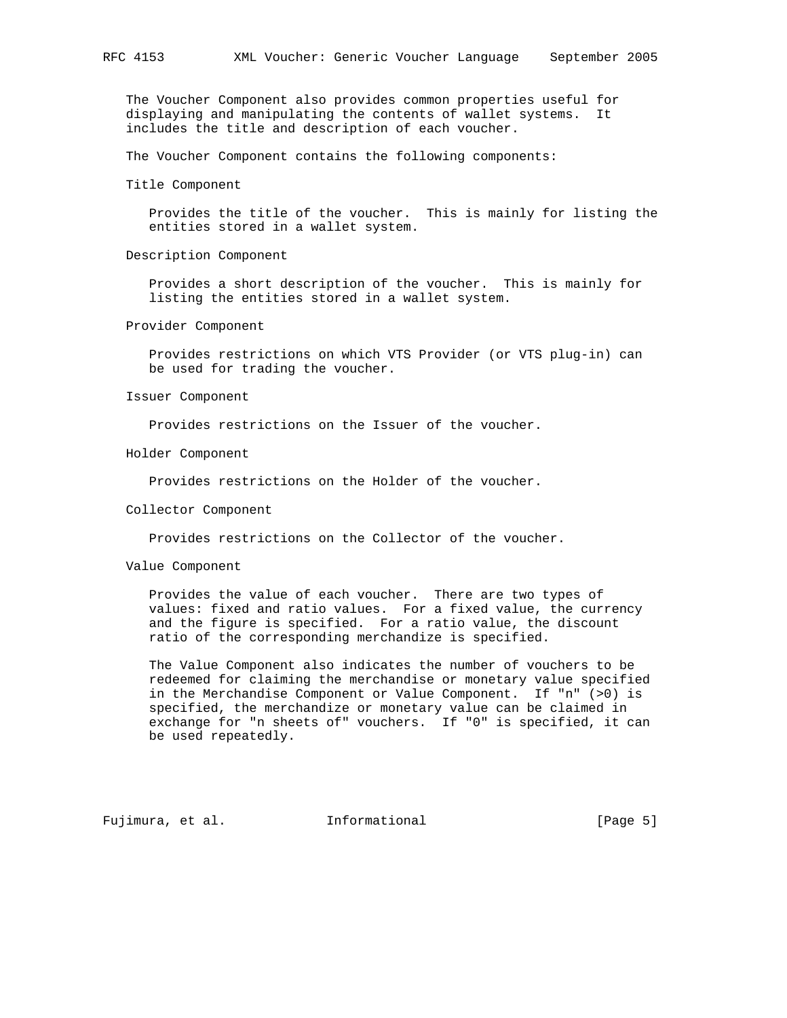The Voucher Component also provides common properties useful for displaying and manipulating the contents of wallet systems. It includes the title and description of each voucher.

The Voucher Component contains the following components:

Title Component

 Provides the title of the voucher. This is mainly for listing the entities stored in a wallet system.

Description Component

 Provides a short description of the voucher. This is mainly for listing the entities stored in a wallet system.

Provider Component

 Provides restrictions on which VTS Provider (or VTS plug-in) can be used for trading the voucher.

Issuer Component

Provides restrictions on the Issuer of the voucher.

Holder Component

Provides restrictions on the Holder of the voucher.

#### Collector Component

Provides restrictions on the Collector of the voucher.

Value Component

 Provides the value of each voucher. There are two types of values: fixed and ratio values. For a fixed value, the currency and the figure is specified. For a ratio value, the discount ratio of the corresponding merchandize is specified.

 The Value Component also indicates the number of vouchers to be redeemed for claiming the merchandise or monetary value specified in the Merchandise Component or Value Component. If "n" (>0) is specified, the merchandize or monetary value can be claimed in exchange for "n sheets of" vouchers. If "0" is specified, it can be used repeatedly.

Fujimura, et al. Informational [Page 5]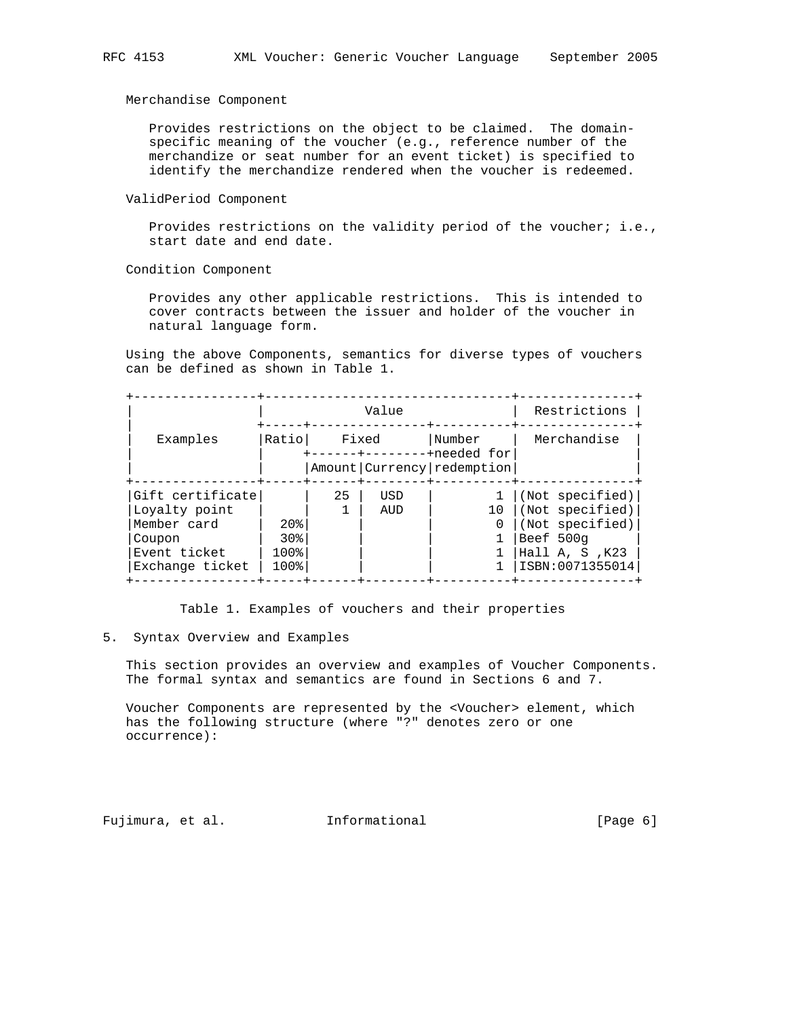Merchandise Component

 Provides restrictions on the object to be claimed. The domain specific meaning of the voucher (e.g., reference number of the merchandize or seat number for an event ticket) is specified to identify the merchandize rendered when the voucher is redeemed.

ValidPeriod Component

 Provides restrictions on the validity period of the voucher; i.e., start date and end date.

Condition Component

 Provides any other applicable restrictions. This is intended to cover contracts between the issuer and holder of the voucher in natural language form.

 Using the above Components, semantics for diverse types of vouchers can be defined as shown in Table 1.

|                  | Value           |                                     |                                |        |    | Restrictions     |  |
|------------------|-----------------|-------------------------------------|--------------------------------|--------|----|------------------|--|
| Examples         | Ratiol          | Fixed<br>------+--------+needed for |                                | Number |    | Merchandise      |  |
|                  |                 |                                     | Amount   Currency   redemption |        |    |                  |  |
| Gift certificate |                 | 25                                  | USD                            |        |    | (Not specified)  |  |
| Loyalty point    |                 |                                     | AUD                            |        | 10 | (Not specified)  |  |
| Member card      | 20 <sub>8</sub> |                                     |                                |        |    | (Not specified)  |  |
| Coupon           | 30 <sup>g</sup> |                                     |                                |        |    | Beef 500g        |  |
| Event ticket     | 100%            |                                     |                                |        |    | Hall A, S, $K23$ |  |
| Exchange ticket  | 100%            |                                     |                                |        |    | ISBN:0071355014  |  |

Table 1. Examples of vouchers and their properties

#### 5. Syntax Overview and Examples

 This section provides an overview and examples of Voucher Components. The formal syntax and semantics are found in Sections 6 and 7.

 Voucher Components are represented by the <Voucher> element, which has the following structure (where "?" denotes zero or one occurrence):

Fujimura, et al. 1nformational [Page 6]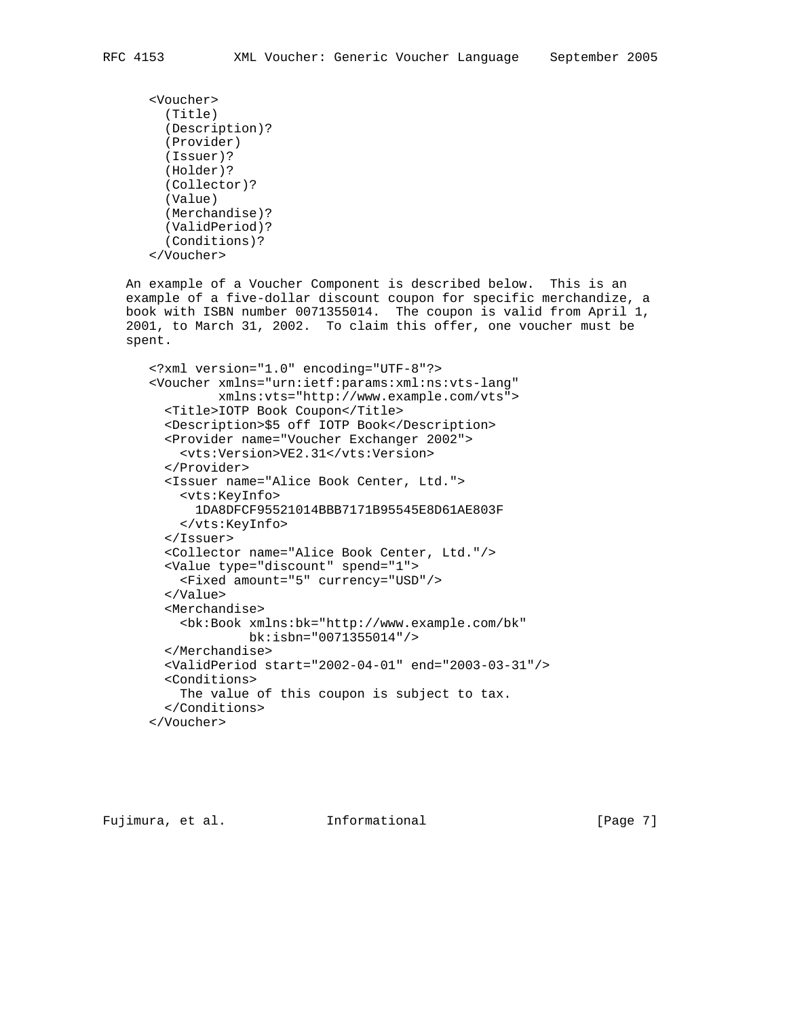```
 <Voucher>
  (Title)
  (Description)?
  (Provider)
  (Issuer)?
  (Holder)?
  (Collector)?
  (Value)
  (Merchandise)?
  (ValidPeriod)?
  (Conditions)?
</Voucher>
```
 An example of a Voucher Component is described below. This is an example of a five-dollar discount coupon for specific merchandize, a book with ISBN number 0071355014. The coupon is valid from April 1, 2001, to March 31, 2002. To claim this offer, one voucher must be spent.

```
 <?xml version="1.0" encoding="UTF-8"?>
<Voucher xmlns="urn:ietf:params:xml:ns:vts-lang"
         xmlns:vts="http://www.example.com/vts">
  <Title>IOTP Book Coupon</Title>
  <Description>$5 off IOTP Book</Description>
  <Provider name="Voucher Exchanger 2002">
    <vts:Version>VE2.31</vts:Version>
  </Provider>
  <Issuer name="Alice Book Center, Ltd.">
    <vts:KeyInfo>
      1DA8DFCF95521014BBB7171B95545E8D61AE803F
    </vts:KeyInfo>
  </Issuer>
  <Collector name="Alice Book Center, Ltd."/>
  <Value type="discount" spend="1">
    <Fixed amount="5" currency="USD"/>
  </Value>
  <Merchandise>
    <bk:Book xmlns:bk="http://www.example.com/bk"
             bk:isbn="0071355014"/>
  </Merchandise>
  <ValidPeriod start="2002-04-01" end="2003-03-31"/>
  <Conditions>
    The value of this coupon is subject to tax.
  </Conditions>
</Voucher>
```
Fujimura, et al. 1nformational [Page 7]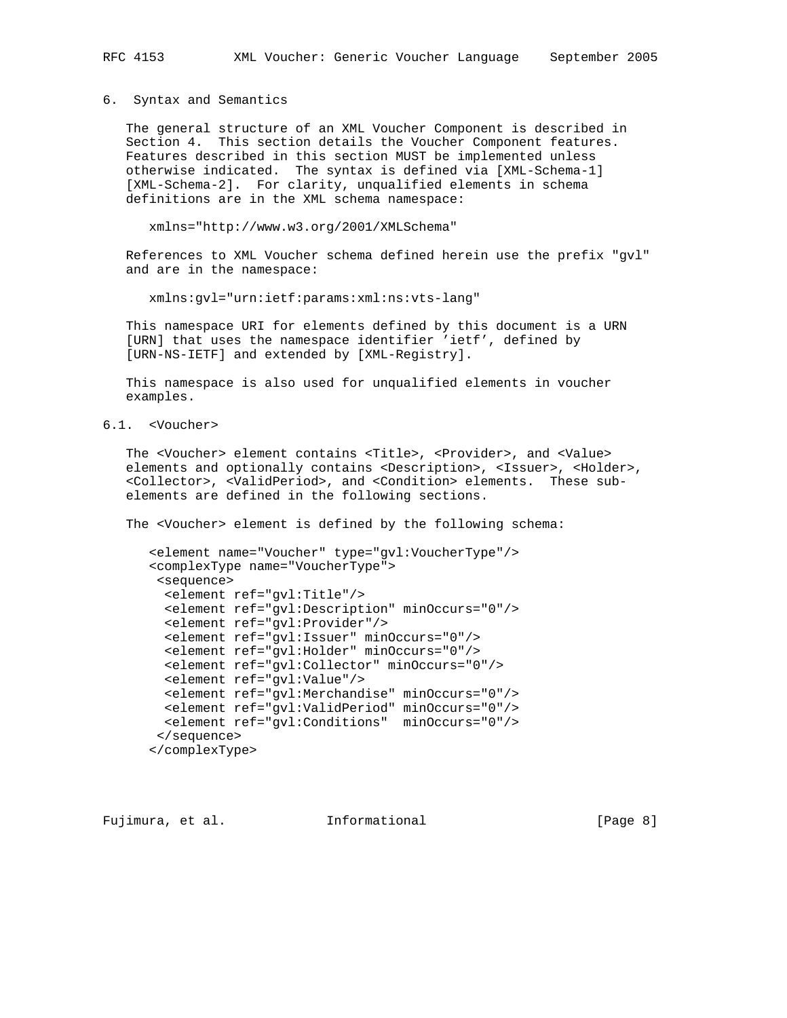6. Syntax and Semantics

 The general structure of an XML Voucher Component is described in Section 4. This section details the Voucher Component features. Features described in this section MUST be implemented unless otherwise indicated. The syntax is defined via [XML-Schema-1] [XML-Schema-2]. For clarity, unqualified elements in schema definitions are in the XML schema namespace:

xmlns="http://www.w3.org/2001/XMLSchema"

 References to XML Voucher schema defined herein use the prefix "gvl" and are in the namespace:

xmlns:gvl="urn:ietf:params:xml:ns:vts-lang"

 This namespace URI for elements defined by this document is a URN [URN] that uses the namespace identifier 'ietf', defined by [URN-NS-IETF] and extended by [XML-Registry].

 This namespace is also used for unqualified elements in voucher examples.

6.1. <Voucher>

The <Voucher> element contains <Title>, <Provider>, and <Value> elements and optionally contains <Description>, <Issuer>, <Holder>, <Collector>, <ValidPeriod>, and <Condition> elements. These sub elements are defined in the following sections.

The <Voucher> element is defined by the following schema:

```
 <element name="Voucher" type="gvl:VoucherType"/>
<complexType name="VoucherType">
 <sequence>
  <element ref="gvl:Title"/>
  <element ref="gvl:Description" minOccurs="0"/>
  <element ref="gvl:Provider"/>
  <element ref="gvl:Issuer" minOccurs="0"/>
  <element ref="gvl:Holder" minOccurs="0"/>
  <element ref="gvl:Collector" minOccurs="0"/>
  <element ref="gvl:Value"/>
 <element ref="gvl:Merchandise" minOccurs="0"/>
 <element ref="gvl:ValidPeriod" minOccurs="0"/>
 <element ref="gvl:Conditions" minOccurs="0"/>
 </sequence>
</complexType>
```
Fujimura, et al. 1nformational 1999 (Page 8)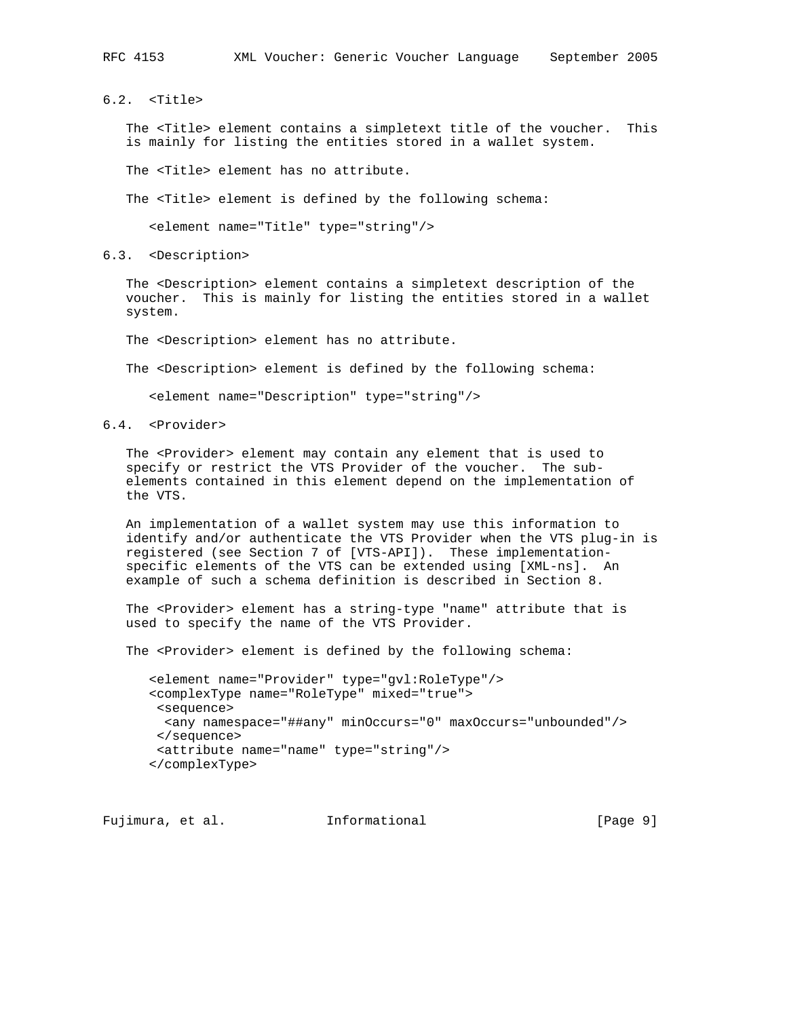6.2. <Title>

 The <Title> element contains a simpletext title of the voucher. This is mainly for listing the entities stored in a wallet system.

The <Title> element has no attribute.

The <Title> element is defined by the following schema:

<element name="Title" type="string"/>

6.3. <Description>

 The <Description> element contains a simpletext description of the voucher. This is mainly for listing the entities stored in a wallet system.

The <Description> element has no attribute.

The <Description> element is defined by the following schema:

<element name="Description" type="string"/>

#### 6.4. <Provider>

The <Provider> element may contain any element that is used to specify or restrict the VTS Provider of the voucher. The sub elements contained in this element depend on the implementation of the VTS.

 An implementation of a wallet system may use this information to identify and/or authenticate the VTS Provider when the VTS plug-in is registered (see Section 7 of [VTS-API]). These implementation specific elements of the VTS can be extended using [XML-ns]. An example of such a schema definition is described in Section 8.

 The <Provider> element has a string-type "name" attribute that is used to specify the name of the VTS Provider.

The <Provider> element is defined by the following schema:

 <element name="Provider" type="gvl:RoleType"/> <complexType name="RoleType" mixed="true"> <sequence> <any namespace="##any" minOccurs="0" maxOccurs="unbounded"/> </sequence> <attribute name="name" type="string"/> </complexType>

Fujimura, et al. 1nformational 1999 [Page 9]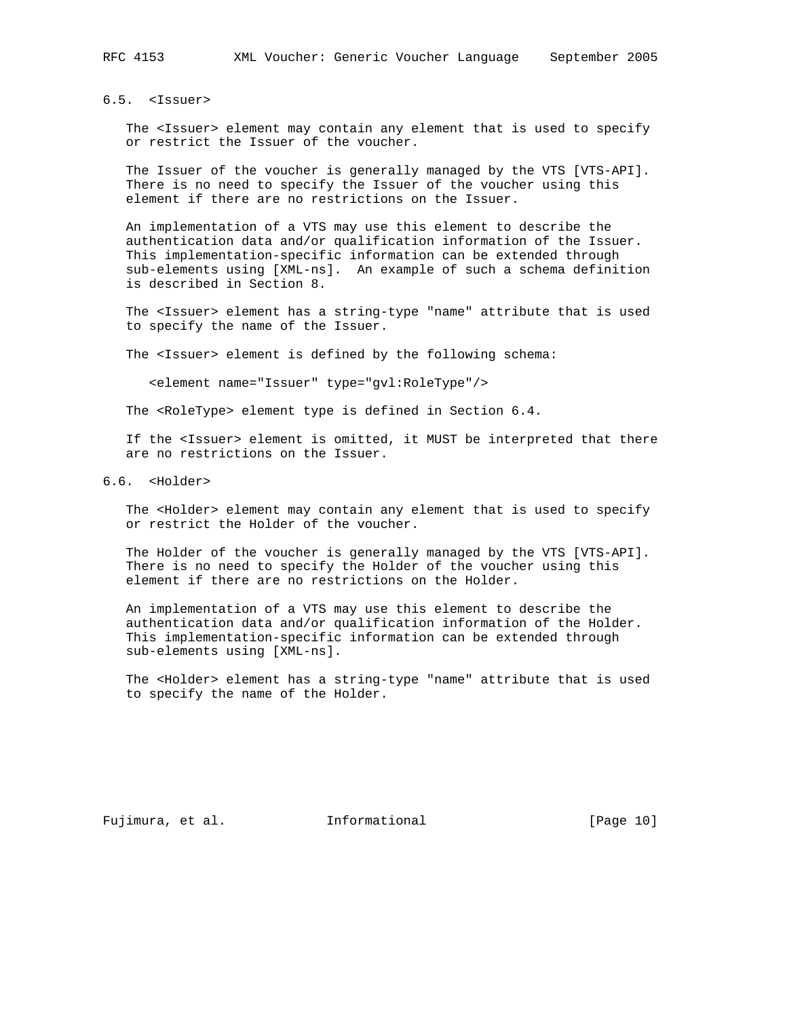# 6.5. <Issuer>

 The <Issuer> element may contain any element that is used to specify or restrict the Issuer of the voucher.

 The Issuer of the voucher is generally managed by the VTS [VTS-API]. There is no need to specify the Issuer of the voucher using this element if there are no restrictions on the Issuer.

 An implementation of a VTS may use this element to describe the authentication data and/or qualification information of the Issuer. This implementation-specific information can be extended through sub-elements using [XML-ns]. An example of such a schema definition is described in Section 8.

 The <Issuer> element has a string-type "name" attribute that is used to specify the name of the Issuer.

The <Issuer> element is defined by the following schema:

<element name="Issuer" type="gvl:RoleType"/>

The <RoleType> element type is defined in Section 6.4.

 If the <Issuer> element is omitted, it MUST be interpreted that there are no restrictions on the Issuer.

## 6.6. <Holder>

The <Holder> element may contain any element that is used to specify or restrict the Holder of the voucher.

The Holder of the voucher is generally managed by the VTS [VTS-API]. There is no need to specify the Holder of the voucher using this element if there are no restrictions on the Holder.

 An implementation of a VTS may use this element to describe the authentication data and/or qualification information of the Holder. This implementation-specific information can be extended through sub-elements using [XML-ns].

 The <Holder> element has a string-type "name" attribute that is used to specify the name of the Holder.

Fujimura, et al. 1nformational 1999 [Page 10]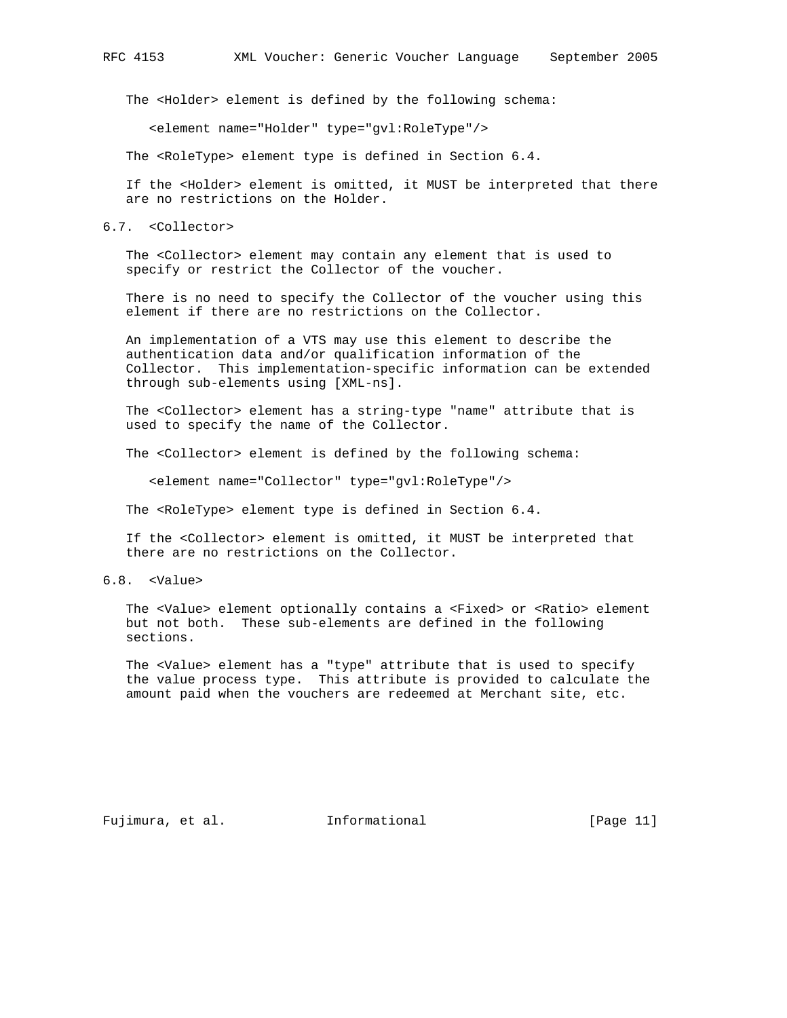The <Holder> element is defined by the following schema:

<element name="Holder" type="gvl:RoleType"/>

The <RoleType> element type is defined in Section 6.4.

 If the <Holder> element is omitted, it MUST be interpreted that there are no restrictions on the Holder.

6.7. <Collector>

 The <Collector> element may contain any element that is used to specify or restrict the Collector of the voucher.

 There is no need to specify the Collector of the voucher using this element if there are no restrictions on the Collector.

 An implementation of a VTS may use this element to describe the authentication data and/or qualification information of the Collector. This implementation-specific information can be extended through sub-elements using [XML-ns].

 The <Collector> element has a string-type "name" attribute that is used to specify the name of the Collector.

The <Collector> element is defined by the following schema:

<element name="Collector" type="gvl:RoleType"/>

The <RoleType> element type is defined in Section 6.4.

 If the <Collector> element is omitted, it MUST be interpreted that there are no restrictions on the Collector.

6.8. <Value>

 The <Value> element optionally contains a <Fixed> or <Ratio> element but not both. These sub-elements are defined in the following sections.

 The <Value> element has a "type" attribute that is used to specify the value process type. This attribute is provided to calculate the amount paid when the vouchers are redeemed at Merchant site, etc.

Fujimura, et al. 1nformational 1999 [Page 11]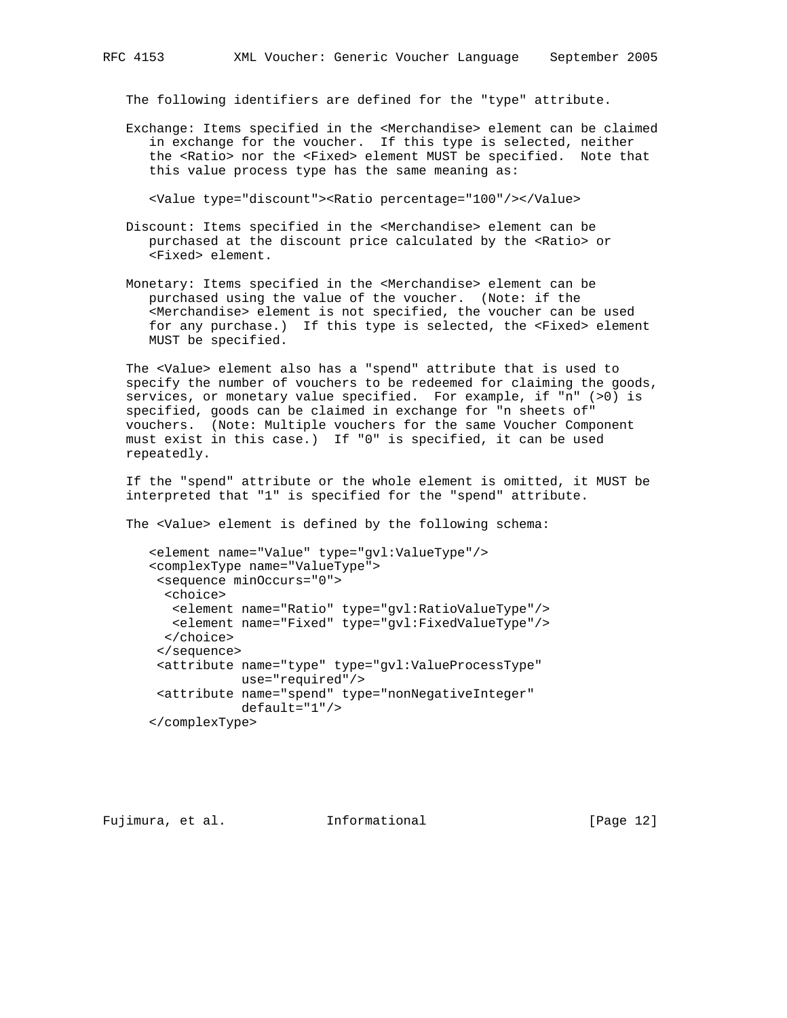The following identifiers are defined for the "type" attribute.

 Exchange: Items specified in the <Merchandise> element can be claimed in exchange for the voucher. If this type is selected, neither the <Ratio> nor the <Fixed> element MUST be specified. Note that this value process type has the same meaning as:

<Value type="discount"><Ratio percentage="100"/></Value>

- Discount: Items specified in the <Merchandise> element can be purchased at the discount price calculated by the <Ratio> or <Fixed> element.
- Monetary: Items specified in the <Merchandise> element can be purchased using the value of the voucher. (Note: if the <Merchandise> element is not specified, the voucher can be used for any purchase.) If this type is selected, the <Fixed> element MUST be specified.

 The <Value> element also has a "spend" attribute that is used to specify the number of vouchers to be redeemed for claiming the goods, services, or monetary value specified. For example, if "n" (>0) is specified, goods can be claimed in exchange for "n sheets of" vouchers. (Note: Multiple vouchers for the same Voucher Component must exist in this case.) If "0" is specified, it can be used repeatedly.

 If the "spend" attribute or the whole element is omitted, it MUST be interpreted that "1" is specified for the "spend" attribute.

The <Value> element is defined by the following schema:

```
 <element name="Value" type="gvl:ValueType"/>
<complexType name="ValueType">
 <sequence minOccurs="0">
 <choice>
   <element name="Ratio" type="gvl:RatioValueType"/>
   <element name="Fixed" type="gvl:FixedValueType"/>
 </choice>
 </sequence>
 <attribute name="type" type="gvl:ValueProcessType"
           use="required"/>
<attribute name="spend" type="nonNegativeInteger"
           default="1"/>
</complexType>
```
Fujimura, et al. Informational [Page 12]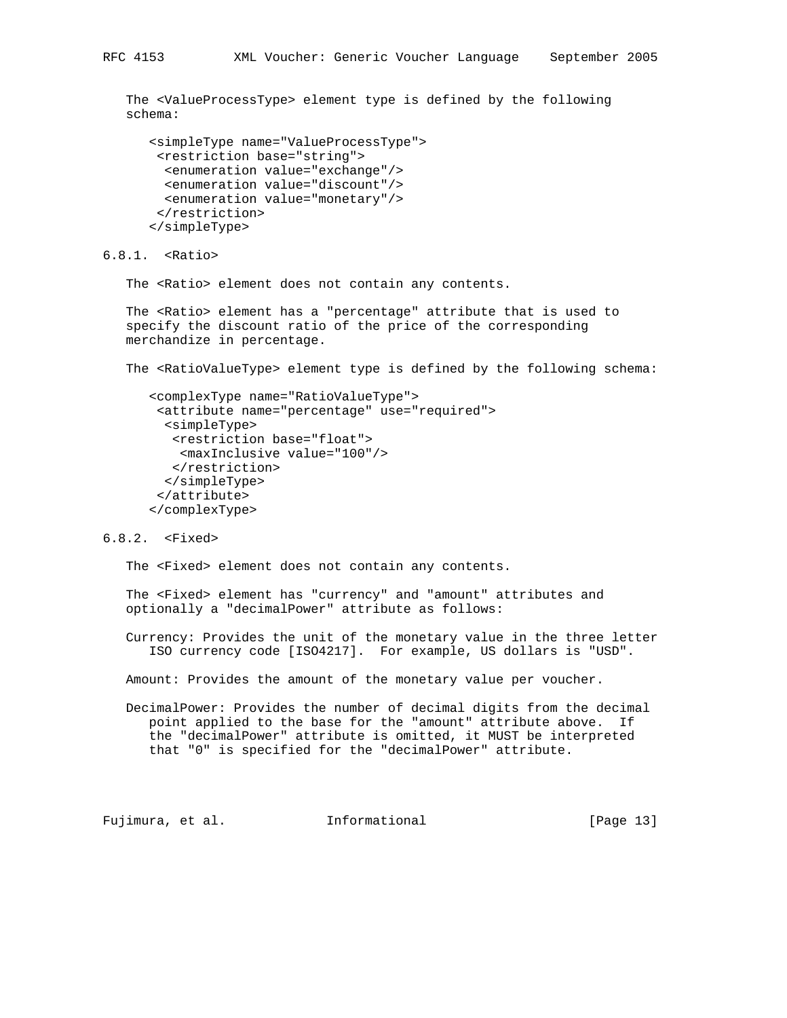The <ValueProcessType> element type is defined by the following schema:

```
 <simpleType name="ValueProcessType">
<restriction base="string">
 <enumeration value="exchange"/>
 <enumeration value="discount"/>
 <enumeration value="monetary"/>
 </restriction>
</simpleType>
```
6.8.1. <Ratio>

The <Ratio> element does not contain any contents.

 The <Ratio> element has a "percentage" attribute that is used to specify the discount ratio of the price of the corresponding merchandize in percentage.

The <RatioValueType> element type is defined by the following schema:

```
 <complexType name="RatioValueType">
 <attribute name="percentage" use="required">
  <simpleType>
  <restriction base="float">
   <maxInclusive value="100"/>
  </restriction>
 </simpleType>
</attribute>
</complexType>
```
# 6.8.2. <Fixed>

The <Fixed> element does not contain any contents.

 The <Fixed> element has "currency" and "amount" attributes and optionally a "decimalPower" attribute as follows:

 Currency: Provides the unit of the monetary value in the three letter ISO currency code [ISO4217]. For example, US dollars is "USD".

Amount: Provides the amount of the monetary value per voucher.

 DecimalPower: Provides the number of decimal digits from the decimal point applied to the base for the "amount" attribute above. If the "decimalPower" attribute is omitted, it MUST be interpreted that "0" is specified for the "decimalPower" attribute.

Fujimura, et al. Informational [Page 13]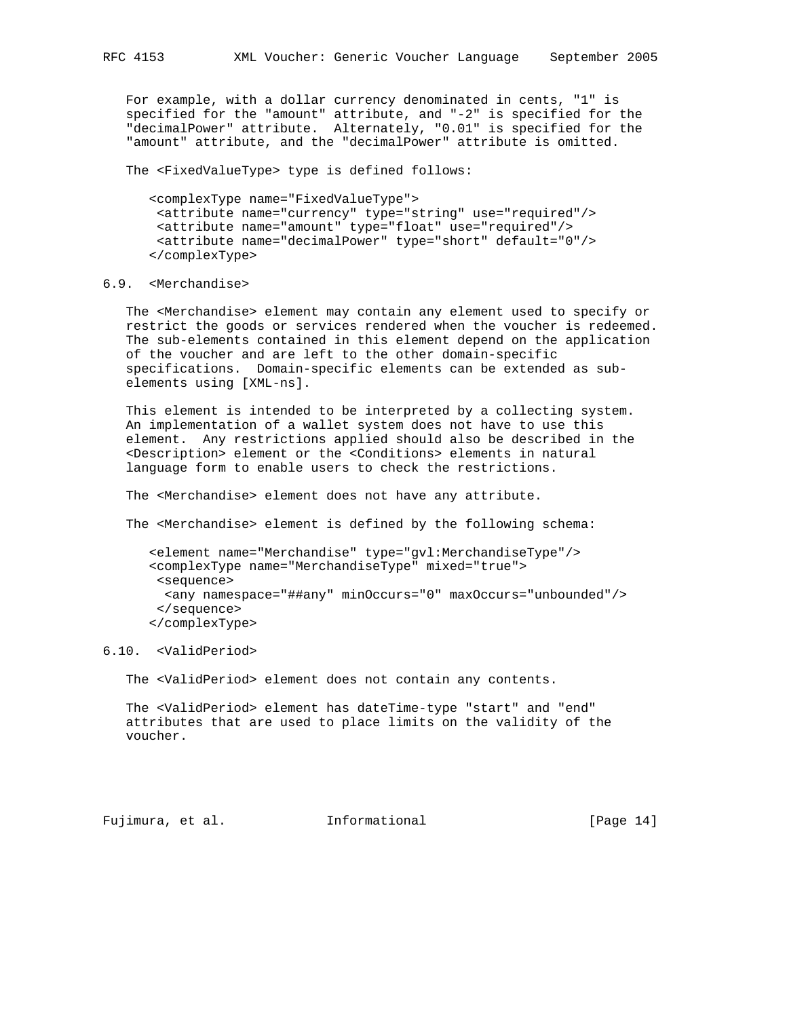For example, with a dollar currency denominated in cents, "1" is specified for the "amount" attribute, and "-2" is specified for the "decimalPower" attribute. Alternately, "0.01" is specified for the "amount" attribute, and the "decimalPower" attribute is omitted.

The <FixedValueType> type is defined follows:

 <complexType name="FixedValueType"> <attribute name="currency" type="string" use="required"/> <attribute name="amount" type="float" use="required"/> <attribute name="decimalPower" type="short" default="0"/> </complexType>

# 6.9. <Merchandise>

 The <Merchandise> element may contain any element used to specify or restrict the goods or services rendered when the voucher is redeemed. The sub-elements contained in this element depend on the application of the voucher and are left to the other domain-specific specifications. Domain-specific elements can be extended as sub elements using [XML-ns].

 This element is intended to be interpreted by a collecting system. An implementation of a wallet system does not have to use this element. Any restrictions applied should also be described in the <Description> element or the <Conditions> elements in natural language form to enable users to check the restrictions.

The <Merchandise> element does not have any attribute.

The <Merchandise> element is defined by the following schema:

 <element name="Merchandise" type="gvl:MerchandiseType"/> <complexType name="MerchandiseType" mixed="true"> <sequence> <any namespace="##any" minOccurs="0" maxOccurs="unbounded"/> </sequence> </complexType>

## 6.10. <ValidPeriod>

The <ValidPeriod> element does not contain any contents.

 The <ValidPeriod> element has dateTime-type "start" and "end" attributes that are used to place limits on the validity of the voucher.

Fujimura, et al. Informational [Page 14]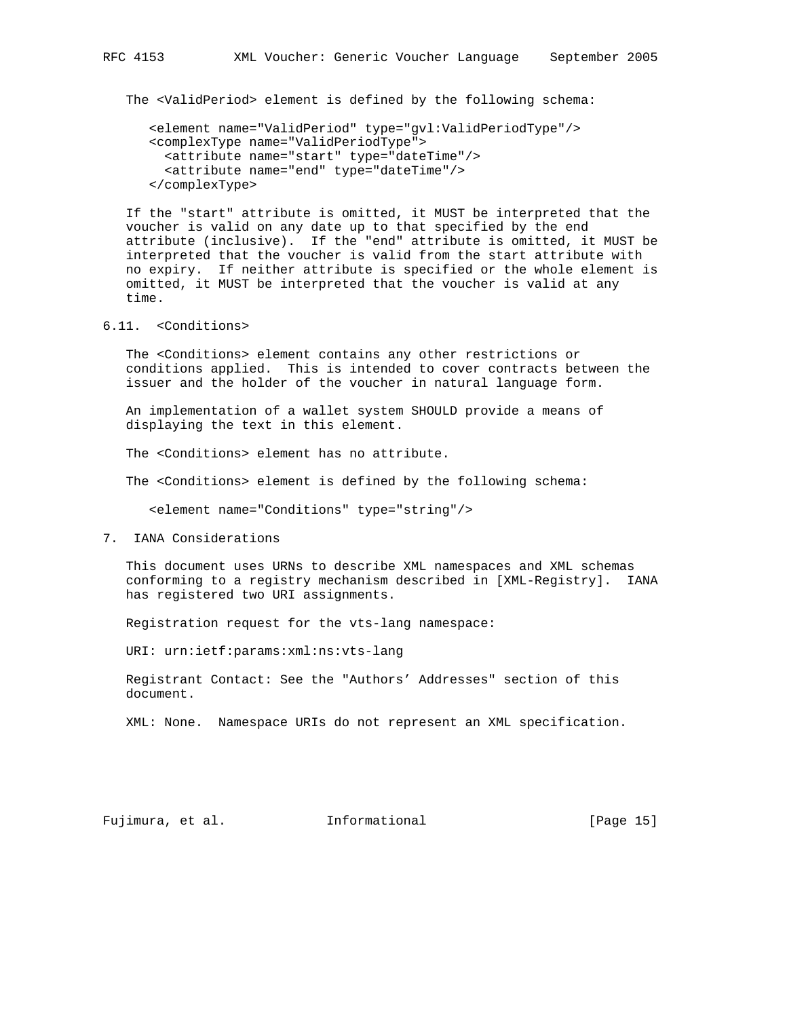The <ValidPeriod> element is defined by the following schema:

```
 <element name="ValidPeriod" type="gvl:ValidPeriodType"/>
<complexType name="ValidPeriodType">
  <attribute name="start" type="dateTime"/>
  <attribute name="end" type="dateTime"/>
</complexType>
```
 If the "start" attribute is omitted, it MUST be interpreted that the voucher is valid on any date up to that specified by the end attribute (inclusive). If the "end" attribute is omitted, it MUST be interpreted that the voucher is valid from the start attribute with no expiry. If neither attribute is specified or the whole element is omitted, it MUST be interpreted that the voucher is valid at any time.

6.11. <Conditions>

 The <Conditions> element contains any other restrictions or conditions applied. This is intended to cover contracts between the issuer and the holder of the voucher in natural language form.

 An implementation of a wallet system SHOULD provide a means of displaying the text in this element.

The <Conditions> element has no attribute.

The <Conditions> element is defined by the following schema:

<element name="Conditions" type="string"/>

7. IANA Considerations

 This document uses URNs to describe XML namespaces and XML schemas conforming to a registry mechanism described in [XML-Registry]. IANA has registered two URI assignments.

Registration request for the vts-lang namespace:

URI: urn:ietf:params:xml:ns:vts-lang

 Registrant Contact: See the "Authors' Addresses" section of this document.

XML: None. Namespace URIs do not represent an XML specification.

Fujimura, et al. Informational [Page 15]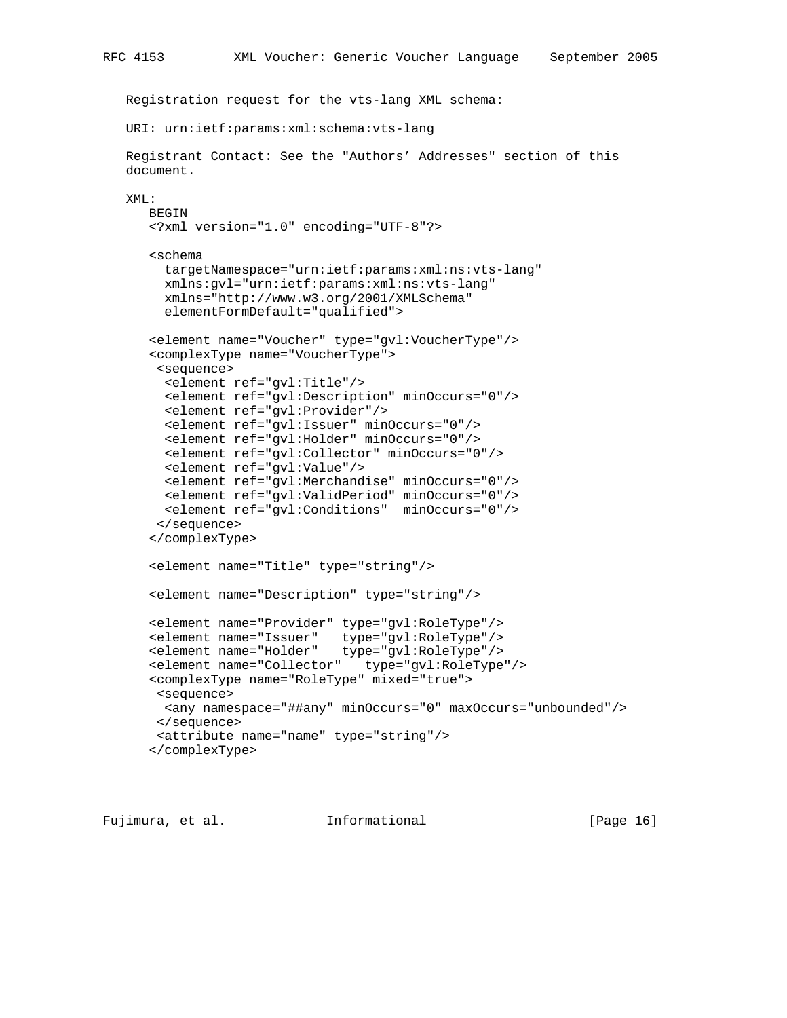```
 Registration request for the vts-lang XML schema:
  URI: urn:ietf:params:xml:schema:vts-lang
  Registrant Contact: See the "Authors' Addresses" section of this
  document.
  XML:
     BEGIN
     <?xml version="1.0" encoding="UTF-8"?>
     <schema
       targetNamespace="urn:ietf:params:xml:ns:vts-lang"
       xmlns:gvl="urn:ietf:params:xml:ns:vts-lang"
       xmlns="http://www.w3.org/2001/XMLSchema"
       elementFormDefault="qualified">
     <element name="Voucher" type="gvl:VoucherType"/>
     <complexType name="VoucherType">
      <sequence>
       <element ref="gvl:Title"/>
       <element ref="gvl:Description" minOccurs="0"/>
       <element ref="gvl:Provider"/>
       <element ref="gvl:Issuer" minOccurs="0"/>
       <element ref="gvl:Holder" minOccurs="0"/>
       <element ref="gvl:Collector" minOccurs="0"/>
       <element ref="gvl:Value"/>
       <element ref="gvl:Merchandise" minOccurs="0"/>
       <element ref="gvl:ValidPeriod" minOccurs="0"/>
       <element ref="gvl:Conditions" minOccurs="0"/>
      </sequence>
      </complexType>
     <element name="Title" type="string"/>
     <element name="Description" type="string"/>
<element name="Provider" type="gvl:RoleType"/>
<element name="Issuer" type="gvl:RoleType"/>
<element name="Holder" type="gvl:RoleType"/>
     <element name="Collector" type="gvl:RoleType"/>
     <complexType name="RoleType" mixed="true">
      <sequence>
       <any namespace="##any" minOccurs="0" maxOccurs="unbounded"/>
      </sequence>
      <attribute name="name" type="string"/>
```

```
 </complexType>
```
Fujimura, et al. Informational [Page 16]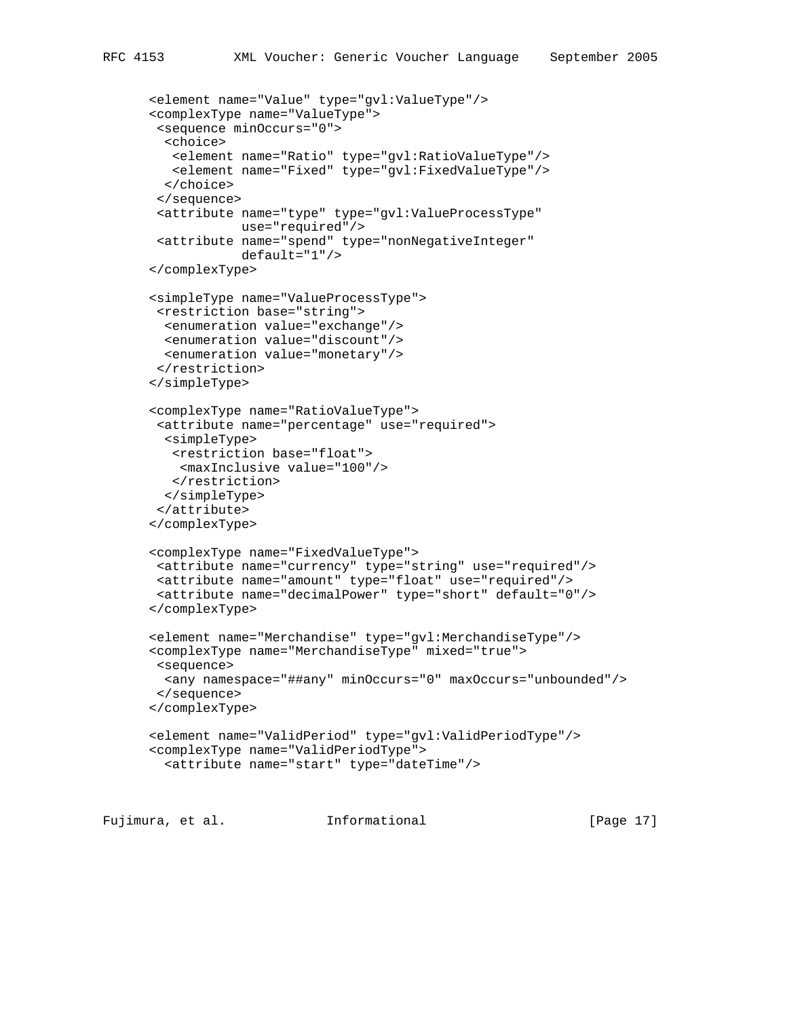```
 <element name="Value" type="gvl:ValueType"/>
<complexType name="ValueType">
<sequence minOccurs="0">
 <choice>
  <element name="Ratio" type="gvl:RatioValueType"/>
```

```
 <element name="Fixed" type="gvl:FixedValueType"/>
 </choice>
 </sequence>
 <attribute name="type" type="gvl:ValueProcessType"
           use="required"/>
 <attribute name="spend" type="nonNegativeInteger"
           default="1"/>
</complexType>
<simpleType name="ValueProcessType">
<restriction base="string">
 <enumeration value="exchange"/>
 <enumeration value="discount"/>
 <enumeration value="monetary"/>
 </restriction>
</simpleType>
<complexType name="RatioValueType">
 <attribute name="percentage" use="required">
 <simpleType>
   <restriction base="float">
   <maxInclusive value="100"/>
   </restriction>
 </simpleType>
</attribute>
</complexType>
<complexType name="FixedValueType">
<attribute name="currency" type="string" use="required"/>
<attribute name="amount" type="float" use="required"/>
<attribute name="decimalPower" type="short" default="0"/>
</complexType>
<element name="Merchandise" type="gvl:MerchandiseType"/>
<complexType name="MerchandiseType" mixed="true">
<sequence>
 <any namespace="##any" minOccurs="0" maxOccurs="unbounded"/>
</sequence>
</complexType>
<element name="ValidPeriod" type="gvl:ValidPeriodType"/>
<complexType name="ValidPeriodType">
  <attribute name="start" type="dateTime"/>
```
Fujimura, et al. Informational [Page 17]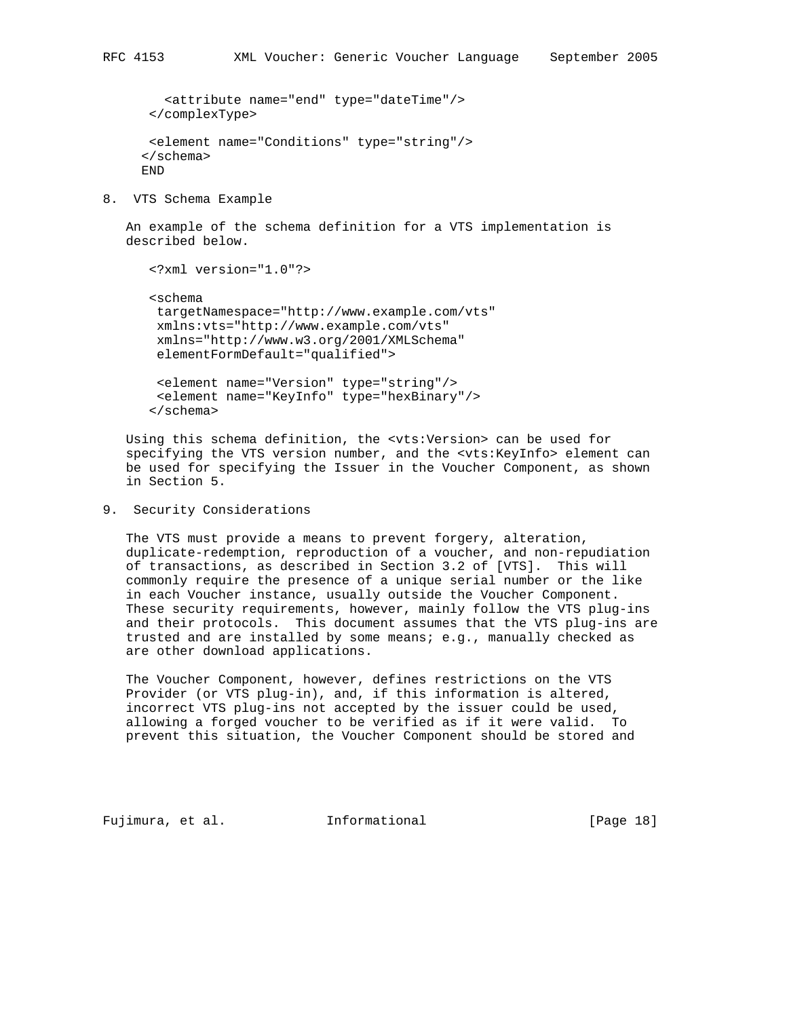```
 <attribute name="end" type="dateTime"/>
</complexType>
<element name="Conditions" type="string"/>
</schema>
```
END

8. VTS Schema Example

 An example of the schema definition for a VTS implementation is described below.

```
 <?xml version="1.0"?>
<schema
targetNamespace="http://www.example.com/vts"
xmlns:vts="http://www.example.com/vts"
xmlns="http://www.w3.org/2001/XMLSchema"
elementFormDefault="qualified">
<element name="Version" type="string"/>
```

```
 <element name="KeyInfo" type="hexBinary"/>
</schema>
```
 Using this schema definition, the <vts:Version> can be used for specifying the VTS version number, and the <vts:KeyInfo> element can be used for specifying the Issuer in the Voucher Component, as shown in Section 5.

9. Security Considerations

 The VTS must provide a means to prevent forgery, alteration, duplicate-redemption, reproduction of a voucher, and non-repudiation of transactions, as described in Section 3.2 of [VTS]. This will commonly require the presence of a unique serial number or the like in each Voucher instance, usually outside the Voucher Component. These security requirements, however, mainly follow the VTS plug-ins and their protocols. This document assumes that the VTS plug-ins are trusted and are installed by some means; e.g., manually checked as are other download applications.

 The Voucher Component, however, defines restrictions on the VTS Provider (or VTS plug-in), and, if this information is altered, incorrect VTS plug-ins not accepted by the issuer could be used, allowing a forged voucher to be verified as if it were valid. To prevent this situation, the Voucher Component should be stored and

Fujimura, et al. Informational [Page 18]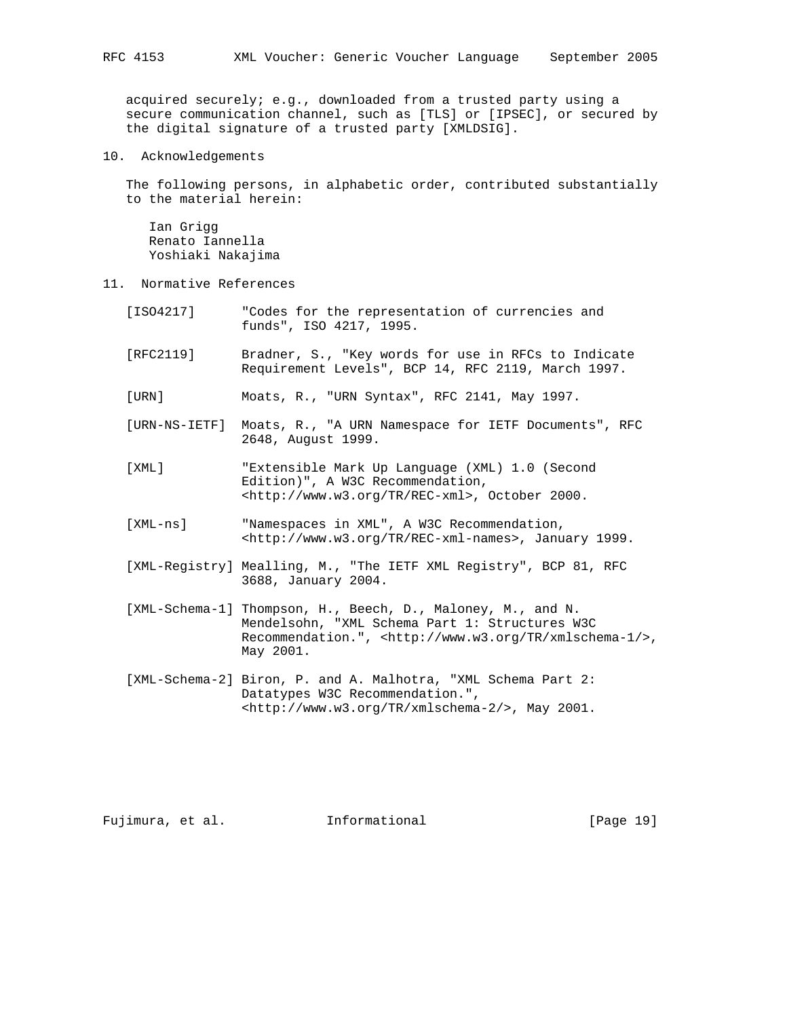acquired securely; e.g., downloaded from a trusted party using a secure communication channel, such as [TLS] or [IPSEC], or secured by the digital signature of a trusted party [XMLDSIG].

10. Acknowledgements

 The following persons, in alphabetic order, contributed substantially to the material herein:

 Ian Grigg Renato Iannella Yoshiaki Nakajima

- 11. Normative References
	- [ISO4217] "Codes for the representation of currencies and funds", ISO 4217, 1995.
	- [RFC2119] Bradner, S., "Key words for use in RFCs to Indicate Requirement Levels", BCP 14, RFC 2119, March 1997.

[URN] Moats, R., "URN Syntax", RFC 2141, May 1997.

- [URN-NS-IETF] Moats, R., "A URN Namespace for IETF Documents", RFC 2648, August 1999.
- [XML] "Extensible Mark Up Language (XML) 1.0 (Second Edition)", A W3C Recommendation, <http://www.w3.org/TR/REC-xml>, October 2000.
- [XML-ns] "Namespaces in XML", A W3C Recommendation, <http://www.w3.org/TR/REC-xml-names>, January 1999.
- [XML-Registry] Mealling, M., "The IETF XML Registry", BCP 81, RFC 3688, January 2004.
- [XML-Schema-1] Thompson, H., Beech, D., Maloney, M., and N. Mendelsohn, "XML Schema Part 1: Structures W3C Recommendation.", <http://www.w3.org/TR/xmlschema-1/>, May 2001.
- [XML-Schema-2] Biron, P. and A. Malhotra, "XML Schema Part 2: Datatypes W3C Recommendation.", <http://www.w3.org/TR/xmlschema-2/>, May 2001.

Fujimura, et al. Informational [Page 19]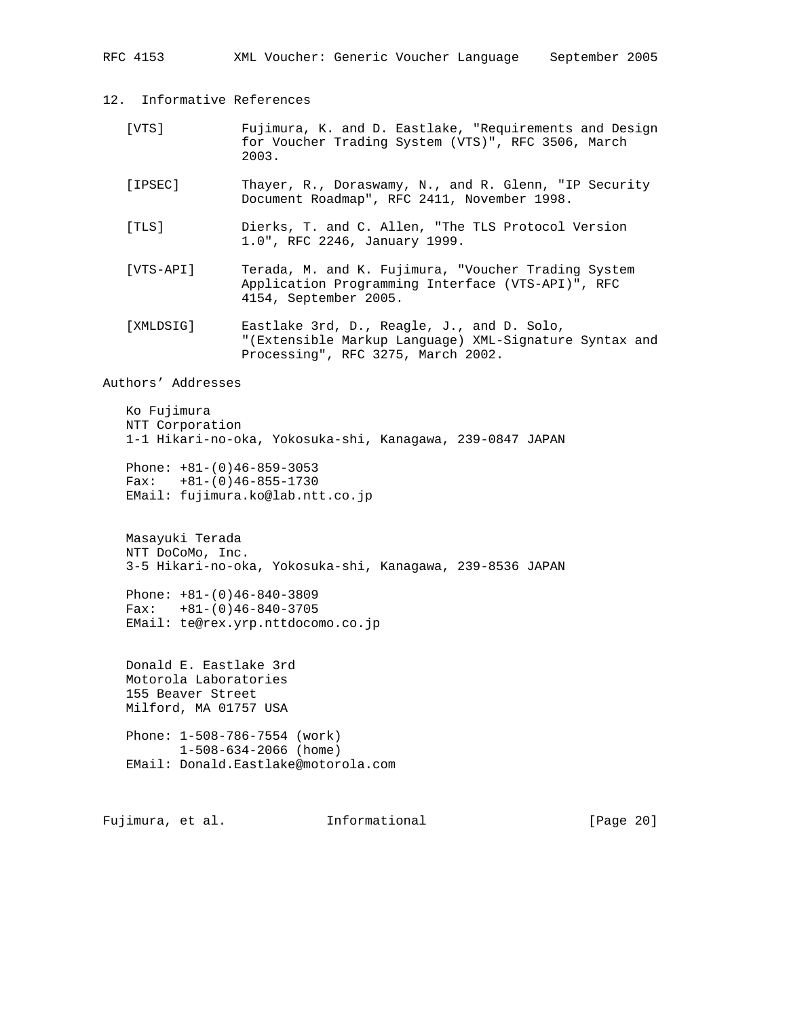RFC 4153 XML Voucher: Generic Voucher Language September 2005

12. Informative References

- [VTS] Fujimura, K. and D. Eastlake, "Requirements and Design for Voucher Trading System (VTS)", RFC 3506, March 2003.
- [IPSEC] Thayer, R., Doraswamy, N., and R. Glenn, "IP Security Document Roadmap", RFC 2411, November 1998.
- [TLS] Dierks, T. and C. Allen, "The TLS Protocol Version 1.0", RFC 2246, January 1999.
- [VTS-API] Terada, M. and K. Fujimura, "Voucher Trading System Application Programming Interface (VTS-API)", RFC 4154, September 2005.
- [XMLDSIG] Eastlake 3rd, D., Reagle, J., and D. Solo, "(Extensible Markup Language) XML-Signature Syntax and Processing", RFC 3275, March 2002.

Authors' Addresses

```
 Ko Fujimura
NTT Corporation
1-1 Hikari-no-oka, Yokosuka-shi, Kanagawa, 239-0847 JAPAN
```
 Phone: +81-(0)46-859-3053 Fax:  $+81-(0)46-855-1730$ EMail: fujimura.ko@lab.ntt.co.jp

 Masayuki Terada NTT DoCoMo, Inc. 3-5 Hikari-no-oka, Yokosuka-shi, Kanagawa, 239-8536 JAPAN

 Phone: +81-(0)46-840-3809 Fax: +81-(0)46-840-3705 EMail: te@rex.yrp.nttdocomo.co.jp

 Donald E. Eastlake 3rd Motorola Laboratories 155 Beaver Street Milford, MA 01757 USA

 Phone: 1-508-786-7554 (work) 1-508-634-2066 (home) EMail: Donald.Eastlake@motorola.com

Fujimura, et al. Informational [Page 20]